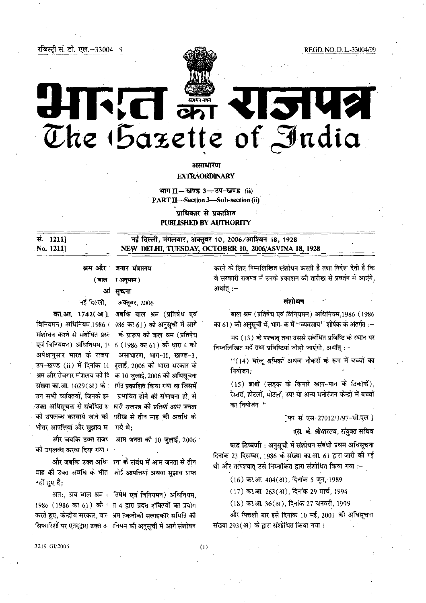REGD. NO. D. L.-33004/99

# **THEFT OF STRAIGHT** 3142 The Gazette of India

असाधारण **EXTRAORDINARY** 

भाग II-खण्ड 3-उप-खण्ड (ii) **PART II-Section 3-Sub-section (ii)** 

प्राधिकार से प्रकाशित **PUBLISHED BY AUTHORITY** 

सं. 1211 No. 12111

नई दिल्ली, मंगलवार, अक्तूबर 10, 2006/आश्विन 18, 1928 NEW DELHI, TUESDAY, OCTOBER 10, 2006/ASVINA 18, 1928

श्रम और जगार मंत्रालय ग अनुभाग.) (बाल

अं सचना

नई दिल्ली,

विनियमन) अधिनियम,1986 ( संशोधन करने से संबंधित प्रस्त अपेक्षानुसार भारत के राजप उन सभी व्यक्तियों, जिनके इस भीतर आपत्तियां और सुझाव म

को उपलब्ध करवा दिया गया <u>ध</u>

नहीं हुए है;

अक्तूबर, 2006

का.आ. 1742 (अ), जबकि बाल श्रम (प्रतिषेध एवं 986 का 61) की अनुसूची में आगे के प्रारूप को बाल श्रम (प्रतिषेध एवं विनियमन) अधिनियम, 16 6 (1986 का 61) की धारा 4 की असाधारण, भाग-II, खण्ड-3, उप-खण्ड (ii) में दिनांक 10 जुलाई, 2006 को भारत सरकार के श्रम और रोजगार मंत्रालय की दि का 10 जलाई, 2006 की अधिसूचना संख्या का.आ. 1029(अ) के निर्गत प्रकाशित किया गया था जिसमें प्रभावित होने की संभावना हो, से ंउक्त अधिसूचना से संबंधित रूं ।ारी राजपत्र की प्रतियां आम जनता को उपलब्ध करवाये जाने की ।ारीख से तीन माह की अवधि के गये थे:

और जबकि उक्त राजप आम जनता को 10 जुलाई, 2006

और जबकि उक्त अधि । उना के संबंध में आम जनता से तीन माह की उक्त अवधि के भीत कोई आपत्तियां अथवा सुझाव प्राप्त

अत:, अब बाल श्रम ( तिषेध एवं विनियमन) अधिनियम, 1986 (1986 का 61) की 5 11 4 द्वारा प्रदत्त शक्तियों का प्रयोग करते हुए, केन्द्रीय सरकार, बाल अम तकनीकी सलाहकार समिति की सिफारिशों पर एतद्द्वारा उक्त 3 । नियम की अनुसूची में आगे संशोधन करने के लिए निम्नलिखित संशोधन करती है तथा निदेश देती है कि वे सरकारी राजपत्र में उनके प्रकाशन की तारीख से प्रवर्तन में आएंगे, अर्थात् :--

## सशोधन

बाल श्रम (प्रतिषेध एवं विनियमन) अधिनियम,1986 (1986 का 61) की अनुसूची में, भाग-क में ''व्यवसाय'' शीर्षक के अंतर्गत :-

मद (13) के पश्चात् तथा उससे संबंधित प्रविष्टि के स्थान पर निम्नलिखित मर्दे तथा प्रविष्टियां जोडी जाएंगी, अर्थात् :-

> "(14) घरेलू श्रमिकों अथवा नौकरों के रूप में बच्चों का नियोजन:

> (15) ढाबों (सडक के किनारे खान-पान के ठिकानों), रेस्तरां, होटलों, मोटलों, स्पा या अन्य मनोरंजन केन्द्रों में बच्चों का नियोजन ।"

> > [ फा. स. एस-27012/3/97-सी.एल.]

एस. के. श्रीवास्तव, संयुक्त सचिव

पाद टिप्पणी : अनुसूची में संशोधन संबंधी प्रथम अधिसूचना दिनांक 23 दिसम्बर, 1986 के संख्या का आ. 61 द्वारा जारी की गई थी और तत्पश्चात् उसे निम्नांकित द्वारा संशोधित किया गया :–

(16) का.आ. 404(अ), दिनांक 5 जून, 1989

(17) का.आ. 263(अ), दिनांक 29 मार्च, 1994

(18) का.आ. 36(अ), दिनांक 27 जनवरी, 1999

और पिछली बार इसे दिनांक 10 मई, 2001 की अधिसूचना संख्या 293(अ) के द्वारा संशोधित किया गया।

3219 GI/2006